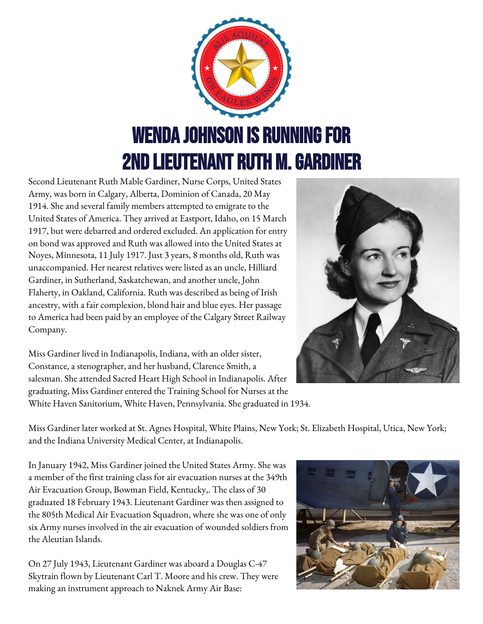

Second Lieutenant Ruth Mable Gardiner, Nurse Corps, United States Army, was born in Calgary, Alberta, Dominion of Canada, 20 May 1914. She and several family members attempted to emigrate to the United States of America. They arrived at Eastport, Idaho, on 15 March 1917, but were debarred and ordered excluded. An application for entry on bond was approved and Ruth was allowed into the United States at Noyes, Minnesota, 11 July 1917. Just 3 years, 8 months old, Ruth was unaccompanied. Her nearest relatives were listed as an uncle, Hilliard Gardiner, in Sutherland, Saskatchewan, and another uncle, John Flaherty, in Oakland, California. Ruth was described as being of Irish ancestry, with a fair complexion, blond hair and blue eyes. Her passage to America had been paid by an employee of the Calgary Street Railway Company.

Miss Gardiner lived in Indianapolis, Indiana, with an older sister, Constance, a stenographer, and her husband, Clarence Smith, a salesman. She attended Sacred Heart High School in Indianapolis. After graduating, Miss Gardiner entered the Training School for Nurses at the White Haven Sanitorium, White Haven, Pennsylvania. She graduated in 1934.

Miss Gardiner later worked at St. Agnes Hospital, White Plains, New York; St. Elizabeth Hospital, Utica, New York; and the Indiana University Medical Center, at Indianapolis.

In January 1942, Miss Gardiner joined the United States Army. She was a member of the first training class for air evacuation nurses at the 349th Air Evacuation Group, Bowman Field, Kentucky,. The class of 30 graduated 18 February 1943. Lieutenant Gardiner was then assigned to the 805th Medical Air Evacuation Squadron, where she was one of only six Army nurses involved in the air evacuation of wounded soldiers from the Aleutian Islands.

On 27 July 1943, Lieutenant Gardiner was aboard a Douglas C-47 Skytrain flown by Lieutenant Carl T. Moore and his crew. They were making an instrument approach to Naknek Army Air Base:

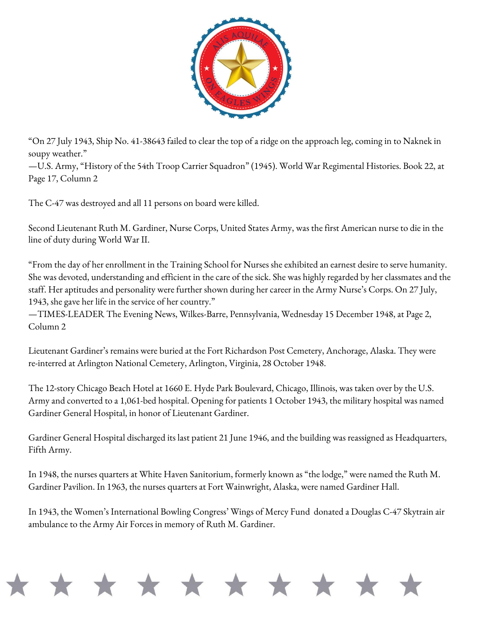

"On 27 July 1943, Ship No. 41-38643 failed to clear the top of a ridge on the approach leg, coming in to Naknek in soupy weather."

—U.S. Army, "History of the 54th Troop Carrier Squadron" (1945). World War Regimental Histories. Book 22, at Page 17, Column 2

The C-47 was destroyed and all 11 persons on board were killed.

Second Lieutenant Ruth M. Gardiner, Nurse Corps, United States Army, was the first American nurse to die in the line of duty during World War II.

"From the day of her enrollment in the Training School for Nurses she exhibited an earnest desire to serve humanity. She was devoted, understanding and efficient in the care of the sick. She was highly regarded by her classmates and the staff. Her aptitudes and personality were further shown during her career in the Army Nurse's Corps. On 27 July, 1943, she gave her life in the service of her country."

—TIMES-LEADER The Evening News, Wilkes-Barre, Pennsylvania, Wednesday 15 December 1948, at Page 2, Column 2

Lieutenant Gardiner's remains were buried at the Fort Richardson Post Cemetery, Anchorage, Alaska. They were re-interred at Arlington National Cemetery, Arlington, Virginia, 28 October 1948.

The 12-story Chicago Beach Hotel at 1660 E. Hyde Park Boulevard, Chicago, Illinois, was taken over by the U.S. Army and converted to a 1,061-bed hospital. Opening for patients 1 October 1943, the military hospital was named Gardiner General Hospital, in honor of Lieutenant Gardiner.

Gardiner General Hospital discharged its last patient 21 June 1946, and the building was reassigned as Headquarters, Fifth Army.

In 1948, the nurses quarters at White Haven Sanitorium, formerly known as "the lodge," were named the Ruth M. Gardiner Pavilion. In 1963, the nurses quarters at Fort Wainwright, Alaska, were named Gardiner Hall.

In 1943, the Women's International Bowling Congress' Wings of Mercy Fund donated a Douglas C-47 Skytrain air ambulance to the Army Air Forces in memory of Ruth M. Gardiner.